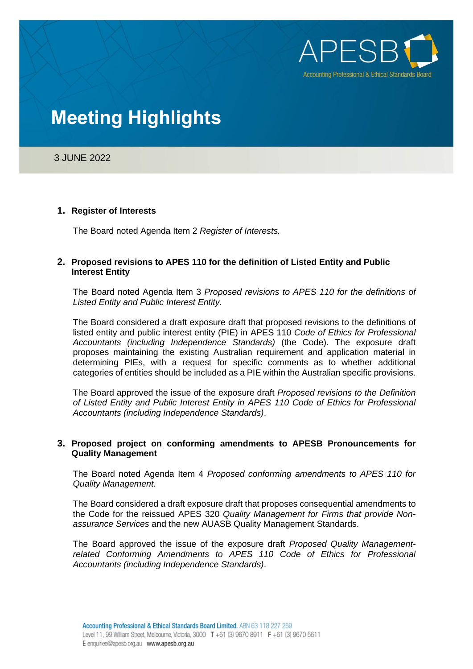

## 3 JUNE 2022

### **1. Register of Interests**

The Board noted Agenda Item 2 *Register of Interests.*

### **2. Proposed revisions to APES 110 for the definition of Listed Entity and Public Interest Entity**

The Board noted Agenda Item 3 *Proposed revisions to APES 110 for the definitions of Listed Entity and Public Interest Entity.*

The Board considered a draft exposure draft that proposed revisions to the definitions of listed entity and public interest entity (PIE) in APES 110 *Code of Ethics for Professional Accountants (including Independence Standards)* (the Code). The exposure draft proposes maintaining the existing Australian requirement and application material in determining PIEs, with a request for specific comments as to whether additional categories of entities should be included as a PIE within the Australian specific provisions.

The Board approved the issue of the exposure draft *Proposed revisions to the Definition of Listed Entity and Public Interest Entity in APES 110 Code of Ethics for Professional Accountants (including Independence Standards)*.

### **3. Proposed project on conforming amendments to APESB Pronouncements for Quality Management**

The Board noted Agenda Item 4 *Proposed conforming amendments to APES 110 for Quality Management.*

The Board considered a draft exposure draft that proposes consequential amendments to the Code for the reissued APES 320 *Quality Management for Firms that provide Nonassurance Services* and the new AUASB Quality Management Standards.

The Board approved the issue of the exposure draft *Proposed Quality Managementrelated Conforming Amendments to APES 110 Code of Ethics for Professional Accountants (including Independence Standards)*.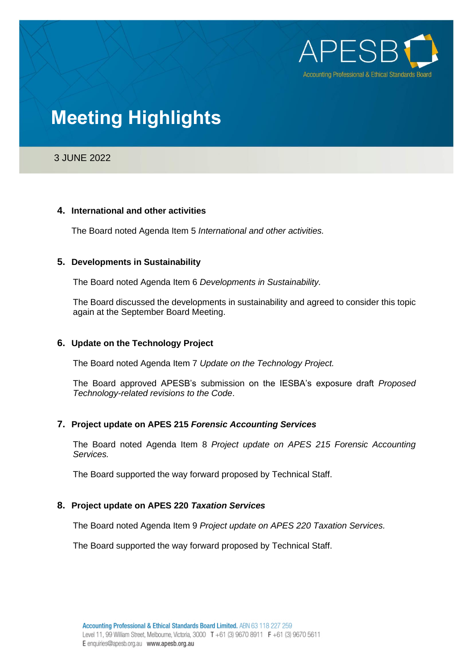

## 3 JUNE 2022

### **4. International and other activities**

The Board noted Agenda Item 5 *International and other activities.*

### **5. Developments in Sustainability**

The Board noted Agenda Item 6 *Developments in Sustainability.*

The Board discussed the developments in sustainability and agreed to consider this topic again at the September Board Meeting.

## **6. Update on the Technology Project**

The Board noted Agenda Item 7 *Update on the Technology Project.*

The Board approved APESB's submission on the IESBA's exposure draft *Proposed Technology-related revisions to the Code*.

## **7. Project update on APES 215** *Forensic Accounting Services*

The Board noted Agenda Item 8 *Project update on APES 215 Forensic Accounting Services.*

The Board supported the way forward proposed by Technical Staff.

## **8. Project update on APES 220** *Taxation Services*

The Board noted Agenda Item 9 *Project update on APES 220 Taxation Services.*

The Board supported the way forward proposed by Technical Staff.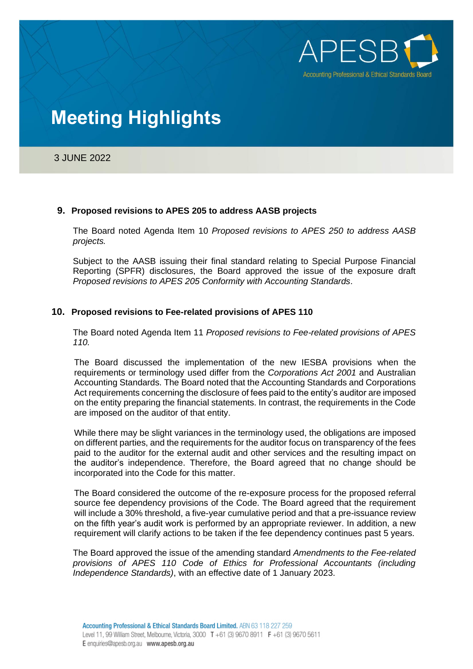

3 JUNE 2022

### **9. Proposed revisions to APES 205 to address AASB projects**

The Board noted Agenda Item 10 *Proposed revisions to APES 250 to address AASB projects.*

Subject to the AASB issuing their final standard relating to Special Purpose Financial Reporting (SPFR) disclosures, the Board approved the issue of the exposure draft *Proposed revisions to APES 205 Conformity with Accounting Standards*.

### **10. Proposed revisions to Fee-related provisions of APES 110**

The Board noted Agenda Item 11 *Proposed revisions to Fee-related provisions of APES 110.*

The Board discussed the implementation of the new IESBA provisions when the requirements or terminology used differ from the *Corporations Act 2001* and Australian Accounting Standards. The Board noted that the Accounting Standards and Corporations Act requirements concerning the disclosure of fees paid to the entity's auditor are imposed on the entity preparing the financial statements. In contrast, the requirements in the Code are imposed on the auditor of that entity.

While there may be slight variances in the terminology used, the obligations are imposed on different parties, and the requirements for the auditor focus on transparency of the fees paid to the auditor for the external audit and other services and the resulting impact on the auditor's independence. Therefore, the Board agreed that no change should be incorporated into the Code for this matter.

The Board considered the outcome of the re-exposure process for the proposed referral source fee dependency provisions of the Code. The Board agreed that the requirement will include a 30% threshold, a five-year cumulative period and that a pre-issuance review on the fifth year's audit work is performed by an appropriate reviewer. In addition, a new requirement will clarify actions to be taken if the fee dependency continues past 5 years.

The Board approved the issue of the amending standard *Amendments to the Fee-related provisions of APES 110 Code of Ethics for Professional Accountants (including Independence Standards)*, with an effective date of 1 January 2023.